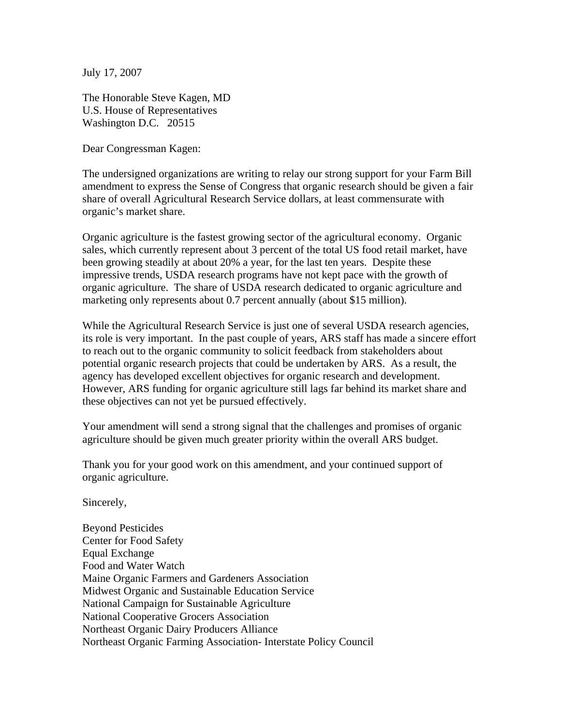July 17, 2007

The Honorable Steve Kagen, MD U.S. House of Representatives Washington D.C. 20515

Dear Congressman Kagen:

The undersigned organizations are writing to relay our strong support for your Farm Bill amendment to express the Sense of Congress that organic research should be given a fair share of overall Agricultural Research Service dollars, at least commensurate with organic's market share.

Organic agriculture is the fastest growing sector of the agricultural economy. Organic sales, which currently represent about 3 percent of the total US food retail market, have been growing steadily at about 20% a year, for the last ten years. Despite these impressive trends, USDA research programs have not kept pace with the growth of organic agriculture. The share of USDA research dedicated to organic agriculture and marketing only represents about 0.7 percent annually (about \$15 million).

While the Agricultural Research Service is just one of several USDA research agencies, its role is very important. In the past couple of years, ARS staff has made a sincere effort to reach out to the organic community to solicit feedback from stakeholders about potential organic research projects that could be undertaken by ARS. As a result, the agency has developed excellent objectives for organic research and development. However, ARS funding for organic agriculture still lags far behind its market share and these objectives can not yet be pursued effectively.

Your amendment will send a strong signal that the challenges and promises of organic agriculture should be given much greater priority within the overall ARS budget.

Thank you for your good work on this amendment, and your continued support of organic agriculture.

Sincerely,

Beyond Pesticides Center for Food Safety Equal Exchange Food and Water Watch Maine Organic Farmers and Gardeners Association Midwest Organic and Sustainable Education Service National Campaign for Sustainable Agriculture National Cooperative Grocers Association Northeast Organic Dairy Producers Alliance Northeast Organic Farming Association- Interstate Policy Council